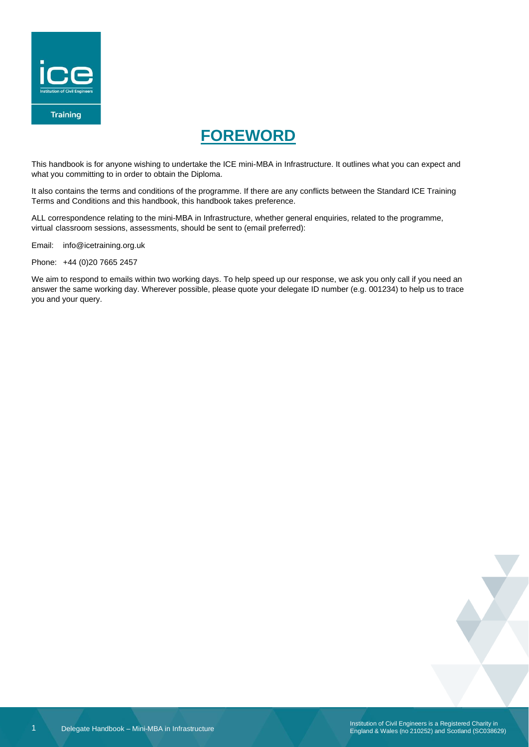

# **FOREWORD**

<span id="page-0-0"></span>This handbook is for anyone wishing to undertake the ICE mini-MBA in Infrastructure. It outlines what you can expect and what you committing to in order to obtain the Diploma.

It also contains the terms and conditions of the programme. If there are any conflicts between the Standard ICE Training Terms and Conditions and this handbook, this handbook takes preference.

ALL correspondence relating to the mini-MBA in Infrastructure, whether general enquiries, related to the programme, virtual classroom sessions, assessments, should be sent to (email preferred):

Email: info@icetraining.org.uk

Phone: +44 (0)20 7665 2457

We aim to respond to emails within two working days. To help speed up our response, we ask you only call if you need an answer the same working day. Wherever possible, please quote your delegate ID number (e.g. 001234) to help us to trace you and your query.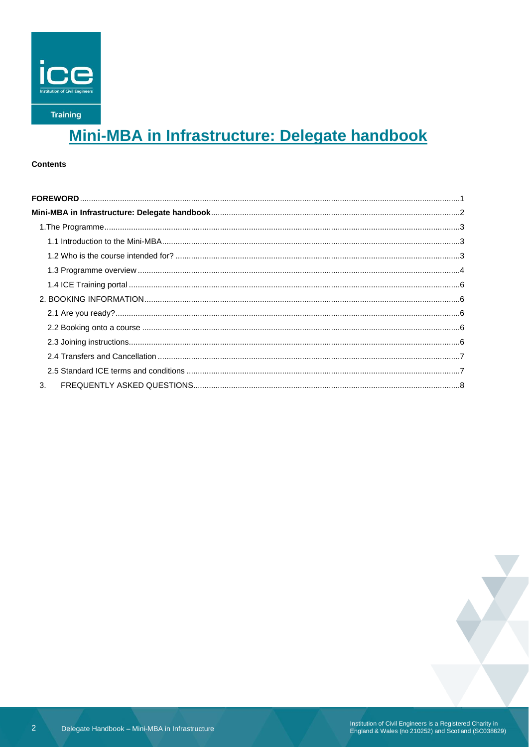

# Mini-MBA in Infrastructure: Delegate handbook

### <span id="page-1-0"></span>**Contents**

| 3. |  |
|----|--|

 $\overline{2}$ 

Institution of Civil Engineers is a Registered Charity in<br>England & Wales (no 210252) and Scotland (SC038629)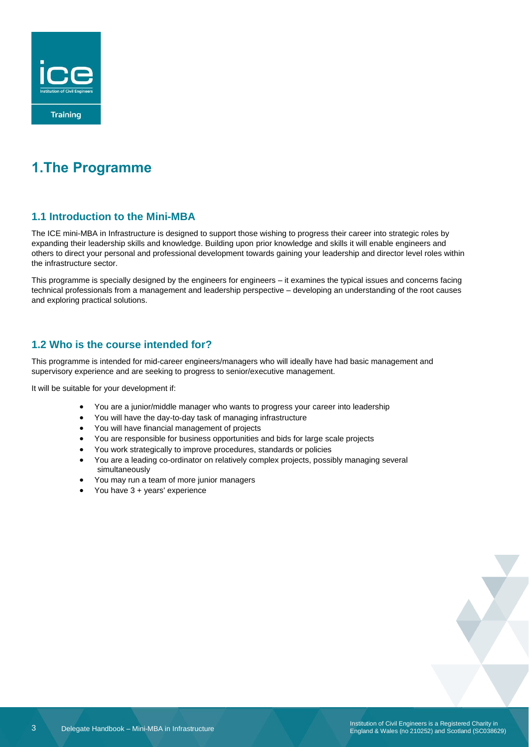

# <span id="page-2-0"></span>**1.The Programme**

## <span id="page-2-1"></span>**1.1 Introduction to the Mini-MBA**

The ICE mini-MBA in Infrastructure is designed to support those wishing to progress their career into strategic roles by expanding their leadership skills and knowledge. Building upon prior knowledge and skills it will enable engineers and others to direct your personal and professional development towards gaining your leadership and director level roles within the infrastructure sector.

This programme is specially designed by the engineers for engineers – it examines the typical issues and concerns facing technical professionals from a management and leadership perspective – developing an understanding of the root causes and exploring practical solutions.

## <span id="page-2-2"></span>**1.2 Who is the course intended for?**

This programme is intended for mid-career engineers/managers who will ideally have had basic management and supervisory experience and are seeking to progress to senior/executive management.

It will be suitable for your development if:

- You are a junior/middle manager who wants to progress your career into leadership
- You will have the day-to-day task of managing infrastructure
- You will have financial management of projects
- You are responsible for business opportunities and bids for large scale projects
- You work strategically to improve procedures, standards or policies
- You are a leading co-ordinator on relatively complex projects, possibly managing several simultaneously
- You may run a team of more junior managers
- You have 3 + years' experience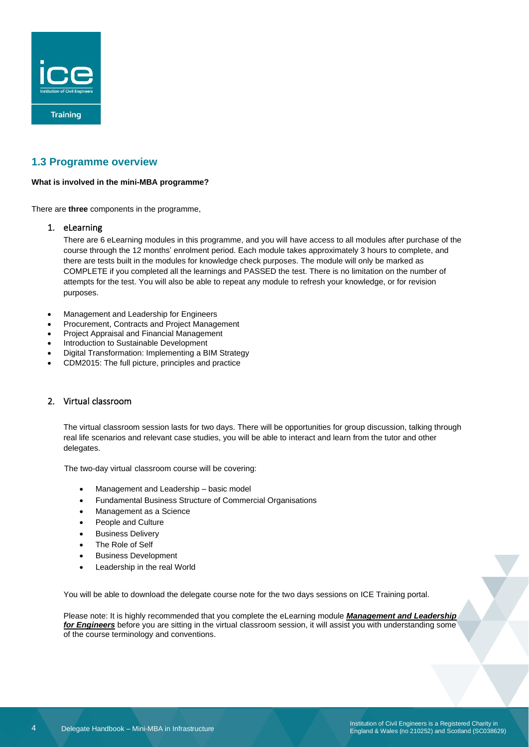

### <span id="page-3-0"></span>**1.3 Programme overview**

### **What is involved in the mini-MBA programme?**

There are **three** components in the programme,

### 1. eLearning

There are 6 eLearning modules in this programme, and you will have access to all modules after purchase of the course through the 12 months' enrolment period. Each module takes approximately 3 hours to complete, and there are tests built in the modules for knowledge check purposes. The module will only be marked as COMPLETE if you completed all the learnings and PASSED the test. There is no limitation on the number of attempts for the test. You will also be able to repeat any module to refresh your knowledge, or for revision purposes.

- Management and Leadership for Engineers
- Procurement, Contracts and Project Management
- Project Appraisal and Financial Management
- Introduction to Sustainable Development
- Digital Transformation: Implementing a BIM Strategy
- CDM2015: The full picture, principles and practice

### 2. Virtual classroom

The virtual classroom session lasts for two days. There will be opportunities for group discussion, talking through real life scenarios and relevant case studies, you will be able to interact and learn from the tutor and other delegates.

The two-day virtual classroom course will be covering:

- Management and Leadership basic model
- Fundamental Business Structure of Commercial Organisations
- Management as a Science
- People and Culture
- **Business Delivery**
- The Role of Self
- Business Development
- Leadership in the real World

You will be able to download the delegate course note for the two days sessions on ICE Training portal.

Please note: It is highly recommended that you complete the eLearning module *Management and Leadership for Engineers* before you are sitting in the virtual classroom session, it will assist you with understanding some of the course terminology and conventions.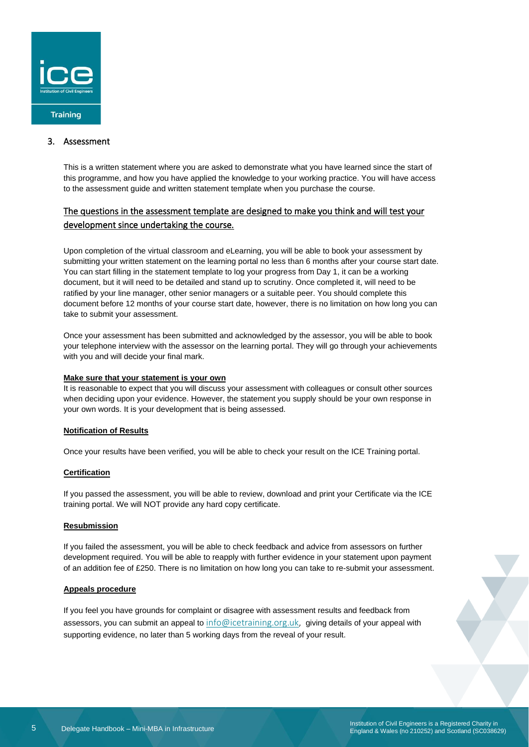

### 3. Assessment

This is a written statement where you are asked to demonstrate what you have learned since the start of this programme, and how you have applied the knowledge to your working practice. You will have access to the assessment guide and written statement template when you purchase the course.

### The questions in the assessment template are designed to make you think and will test your development since undertaking the course.

Upon completion of the virtual classroom and eLearning, you will be able to book your assessment by submitting your written statement on the learning portal no less than 6 months after your course start date. You can start filling in the statement template to log your progress from Day 1, it can be a working document, but it will need to be detailed and stand up to scrutiny. Once completed it, will need to be ratified by your line manager, other senior managers or a suitable peer. You should complete this document before 12 months of your course start date, however, there is no limitation on how long you can take to submit your assessment.

Once your assessment has been submitted and acknowledged by the assessor, you will be able to book your telephone interview with the assessor on the learning portal. They will go through your achievements with you and will decide your final mark.

### **Make sure that your statement is your own**

It is reasonable to expect that you will discuss your assessment with colleagues or consult other sources when deciding upon your evidence. However, the statement you supply should be your own response in your own words. It is your development that is being assessed.

### **Notification of Results**

Once your results have been verified, you will be able to check your result on the ICE Training portal.

### **Certification**

If you passed the assessment, you will be able to review, download and print your Certificate via the ICE training portal. We will NOT provide any hard copy certificate.

### **Resubmission**

If you failed the assessment, you will be able to check feedback and advice from assessors on further development required. You will be able to reapply with further evidence in your statement upon payment of an addition fee of £250. There is no limitation on how long you can take to re-submit your assessment.

### **Appeals procedure**

If you feel you have grounds for complaint or disagree with assessment results and feedback from assessors, you can submit an appeal to [info@icetraining.org.uk,](mailto:info@icetraining.org.uk) giving details of your appeal with supporting evidence, no later than 5 working days from the reveal of your result.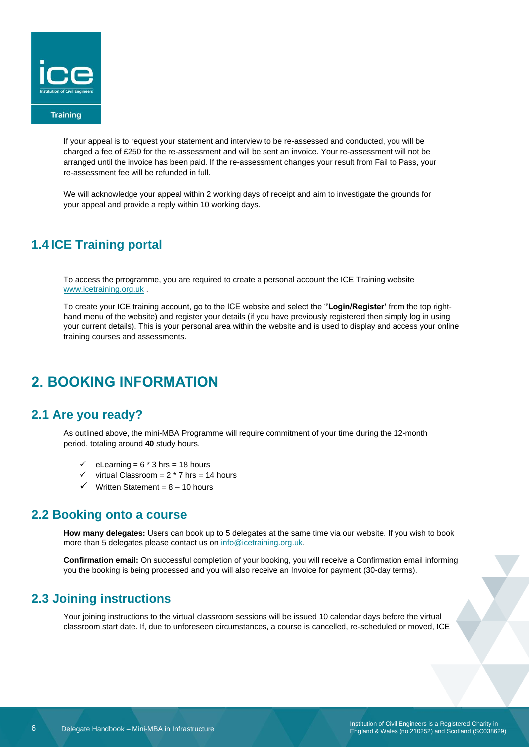

If your appeal is to request your statement and interview to be re-assessed and conducted, you will be charged a fee of £250 for the re-assessment and will be sent an invoice. Your re-assessment will not be arranged until the invoice has been paid. If the re-assessment changes your result from Fail to Pass, your re-assessment fee will be refunded in full.

We will acknowledge your appeal within 2 working days of receipt and aim to investigate the grounds for your appeal and provide a reply within 10 working days.

## <span id="page-5-0"></span>**1.4 ICE Training portal**

To access the prrogramme, you are required to create a personal account the ICE Training website [www.icetraining.org.uk](http://www.icetraining.org.uk/) .

To create your ICE training account, go to the ICE website and select the '**'Login/Register'** from the top righthand menu of the website) and register your details (if you have previously registered then simply log in using your current details). This is your personal area within the website and is used to display and access your online training courses and assessments.

# <span id="page-5-1"></span>**2. BOOKING INFORMATION**

## <span id="page-5-2"></span>**2.1 Are you ready?**

As outlined above, the mini-MBA Programme will require commitment of your time during the 12-month period, totaling around **40** study hours.

- ✓ eLearning = 6 \* 3 hrs = 18 hours
- $\checkmark$  virtual Classroom = 2  $*$  7 hrs = 14 hours
- $\checkmark$  Written Statement = 8 10 hours

### <span id="page-5-3"></span>**2.2 Booking onto a course**

**How many delegates:** Users can book up to 5 delegates at the same time via our website. If you wish to book more than 5 delegates please contact us o[n info@icetraining.org.uk.](mailto:info@icetraining.org.uk)

**Confirmation email:** On successful completion of your booking, you will receive a Confirmation email informing you the booking is being processed and you will also receive an Invoice for payment (30-day terms).

### <span id="page-5-4"></span>**2.3 Joining instructions**

Your joining instructions to the virtual classroom sessions will be issued 10 calendar days before the virtual classroom start date. If, due to unforeseen circumstances, a course is cancelled, re-scheduled or moved, ICE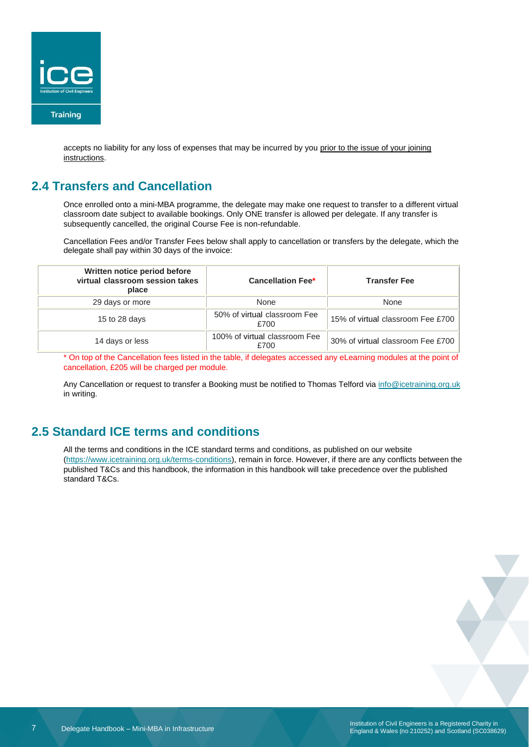

accepts no liability for any loss of expenses that may be incurred by you prior to the issue of your joining instructions.

# <span id="page-6-0"></span>**2.4 Transfers and Cancellation**

Once enrolled onto a mini-MBA programme, the delegate may make one request to transfer to a different virtual classroom date subject to available bookings. Only ONE transfer is allowed per delegate. If any transfer is subsequently cancelled, the original Course Fee is non-refundable.

Cancellation Fees and/or Transfer Fees below shall apply to cancellation or transfers by the delegate, which the delegate shall pay within 30 days of the invoice:

| Written notice period before<br>virtual classroom session takes<br>place | <b>Cancellation Fee*</b>              | <b>Transfer Fee</b>               |
|--------------------------------------------------------------------------|---------------------------------------|-----------------------------------|
| 29 days or more                                                          | None                                  | None                              |
| 15 to 28 days                                                            | 50% of virtual classroom Fee<br>£700  | 15% of virtual classroom Fee £700 |
| 14 days or less                                                          | 100% of virtual classroom Fee<br>£700 | 30% of virtual classroom Fee £700 |

\* On top of the Cancellation fees listed in the table, if delegates accessed any eLearning modules at the point of cancellation, £205 will be charged per module.

Any Cancellation or request to transfer a Booking must be notified to Thomas Telford via [info@icetraining.org.uk](mailto:nfo@icetraining.org.uk) in writing.

# <span id="page-6-1"></span>**2.5 Standard ICE terms and conditions**

All the terms and conditions in the ICE standard terms and conditions, as published on our website [\(https://www.icetraining.org.uk/terms-conditions\)](https://www.icetraining.org.uk/terms-conditions), remain in force. However, if there are any conflicts between the published T&Cs and this handbook, the information in this handbook will take precedence over the published standard T&Cs.

Institution of Civil Engineers is a Registered Charity in England & Wales (no 210252) and Scotland (SC038629)